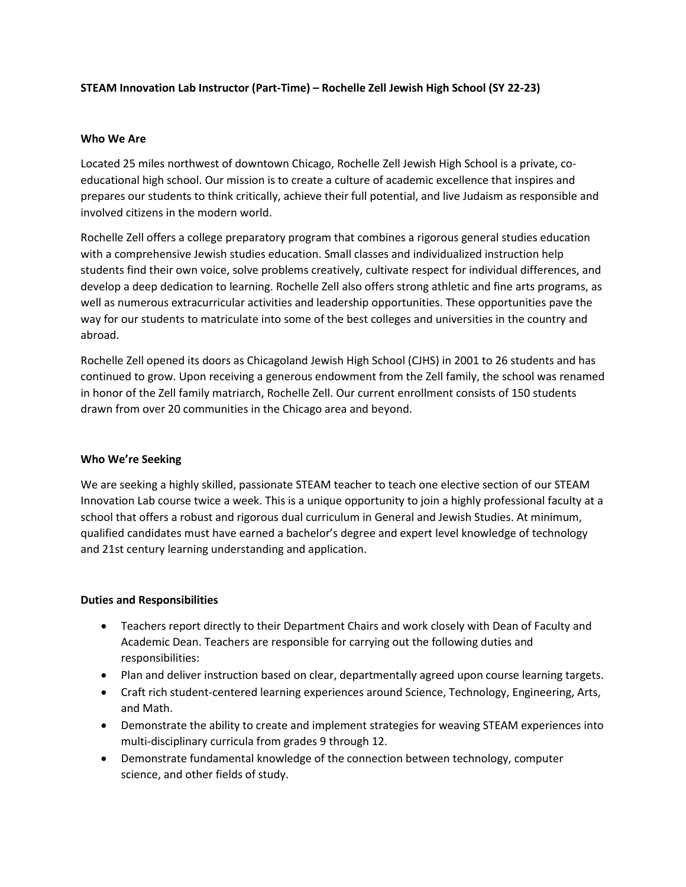# **STEAM Innovation Lab Instructor (Part-Time) – Rochelle Zell Jewish High School (SY 22-23)**

#### **Who We Are**

Located 25 miles northwest of downtown Chicago, Rochelle Zell Jewish High School is a private, coeducational high school. Our mission is to create a culture of academic excellence that inspires and prepares our students to think critically, achieve their full potential, and live Judaism as responsible and involved citizens in the modern world.

Rochelle Zell offers a college preparatory program that combines a rigorous general studies education with a comprehensive Jewish studies education. Small classes and individualized instruction help students find their own voice, solve problems creatively, cultivate respect for individual differences, and develop a deep dedication to learning. Rochelle Zell also offers strong athletic and fine arts programs, as well as numerous extracurricular activities and leadership opportunities. These opportunities pave the way for our students to matriculate into some of the best colleges and universities in the country and abroad.

Rochelle Zell opened its doors as Chicagoland Jewish High School (CJHS) in 2001 to 26 students and has continued to grow. Upon receiving a generous endowment from the Zell family, the school was renamed in honor of the Zell family matriarch, Rochelle Zell. Our current enrollment consists of 150 students drawn from over 20 communities in the Chicago area and beyond.

## **Who We're Seeking**

We are seeking a highly skilled, passionate STEAM teacher to teach one elective section of our STEAM Innovation Lab course twice a week. This is a unique opportunity to join a highly professional faculty at a school that offers a robust and rigorous dual curriculum in General and Jewish Studies. At minimum, qualified candidates must have earned a bachelor's degree and expert level knowledge of technology and 21st century learning understanding and application.

## **Duties and Responsibilities**

- Teachers report directly to their Department Chairs and work closely with Dean of Faculty and Academic Dean. Teachers are responsible for carrying out the following duties and responsibilities:
- Plan and deliver instruction based on clear, departmentally agreed upon course learning targets.
- Craft rich student-centered learning experiences around Science, Technology, Engineering, Arts, and Math.
- Demonstrate the ability to create and implement strategies for weaving STEAM experiences into multi-disciplinary curricula from grades 9 through 12.
- Demonstrate fundamental knowledge of the connection between technology, computer science, and other fields of study.